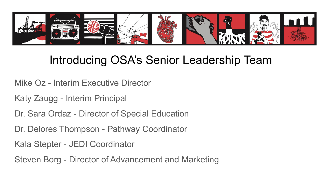

# Introducing OSA's Senior Leadership Team

- Mike Oz Interim Executive Director
- Katy Zaugg Interim Principal
- Dr. Sara Ordaz Director of Special Education
- Dr. Delores Thompson Pathway Coordinator
- Kala Stepter JEDI Coordinator
- Steven Borg Director of Advancement and Marketing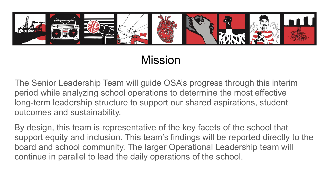

# Mission

The Senior Leadership Team will guide OSA's progress through this interim period while analyzing school operations to determine the most effective long-term leadership structure to support our shared aspirations, student outcomes and sustainability.

By design, this team is representative of the key facets of the school that support equity and inclusion. This team's findings will be reported directly to the board and school community. The larger Operational Leadership team will continue in parallel to lead the daily operations of the school.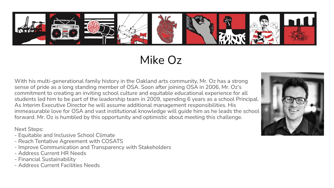

Mike Oz

With his multi-generational family history in the Oakland arts community, Mr. Oz has a strong sense of pride as a long standing member of OSA. Soon after joining OSA in 2006, Mr. Oz's commitment to creating an inviting school culture and equitable educational experience for all students led him to be part of the leadership team in 2009, spending 6 years as a school Principal. As Interim Executive Director he will assume additional management responsibilities. His immeasurable love for OSA and vast institutional knowledge will guide him as he leads the school forward. Mr. Oz is humbled by this opportunity and optimistic about meeting this challenge.

- Equitable and Inclusive School Climate
- Reach Tentative Agreement with COSATS
- Improve Communication and Transparency with Stakeholders
- Address Current HR Needs
- Financial Sustainability
- Address Current Facilities Needs

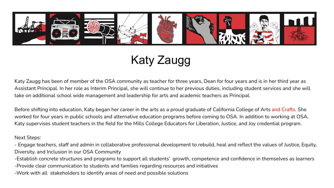

Katy Zaugg

Katy Zaugg has been of member of the OSA community as teacher for three years, Dean for four years and is in her third year as Assistant Principal. In her role as Interim Principal, she will continue to her previous duties, including student services and she will take on additional school wide management and leadership for arts and academic teachers as Principal.

Before shifting into education, Katy began her career in the arts as a proud graduate of California College of Arts and Crafts. She worked for four years in public schools and alternative education programs before coming to OSA. In addition to working at OSA, Katy supervises student teachers in the field for the Mills College Educators for Liberation, Justice, and Joy credential program.

#### Next Steps:

- Engage teachers, staff and admin in collaborative professional development to rebuild, heal and reflect the values of Justice, Equity, Diversity, and Inclusion in our OSA Community

-Establish concrete structures and programs to support all students' growth, competence and confidence in themselves as learners

-Provide clear communication to students and families regarding resources and initiatives

-Work with all stakeholders to identify areas of need and possible solutions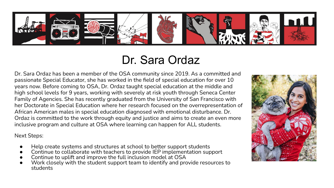

## Dr. Sara Ordaz

Dr. Sara Ordaz has been a member of the OSA community since 2019. As a committed and passionate Special Educator, she has worked in the field of special education for over 10 years now. Before coming to OSA, Dr. Ordaz taught special education at the middle and high school levels for 9 years, working with severely at risk youth through Seneca Center Family of Agencies. She has recently graduated from the University of San Francisco with her Doctorate in Special Education where her research focused on the overrepresentation of African American males in special education diagnosed with emotional disturbance. Dr. Ordaz is committed to the work through equity and justice and aims to create an even more inclusive program and culture at OSA where learning can happen for ALL students.

- Help create systems and structures at school to better support students
- Continue to collaborate with teachers to provide IEP implementation support
- Continue to uplift and improve the full inclusion model at OSA
- Work closely with the student support team to identify and provide resources to students

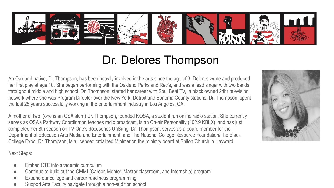

## Dr. Delores Thompson

An Oakland native, Dr. Thompson, has been heavily involved in the arts since the age of 3, Delores wrote and produced her first play at age 10. She began performing with the Oakland Parks and Rec's, and was a lead singer with two bands throughout middle and high school. Dr. Thompson, started her career with Soul Beat TV, a black owned 24hr television network where she was Program Director over the New York, Detroit and Sonoma County stations. Dr. Thompson, spent the last 25 years successfully working in the entertainment industry in Los Angeles, CA.

A mother of two, (one is an OSA alum) Dr. Thompson, founded KOSA, a student run online radio station. She currently serves as OSA's Pathway Coordinator, teaches radio broadcast, is an On-air Personality (102.9 KBLX), and has just completed her 8th season on TV One's docuseries UnSung. Dr. Thompson, serves as a board member for the Department of Education Arts Media and Entertainment, and The National College Resource Foundation/The Black College Expo. Dr. Thompson, is a licensed ordained Minister,on the ministry board at Shiloh Church in Hayward.

- Embed CTE into academic curriculum
- Continue to build out the CMMI (Career, Mentor, Master classroom, and Internship) program
- Expand our college and career readiness programming
- Support Arts Faculty navigate through a non-audition school

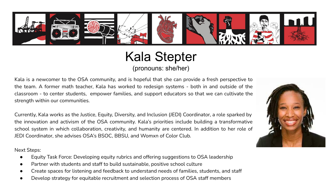

#### Kala Stepter (pronouns: she/her)

Kala is a newcomer to the OSA community, and is hopeful that she can provide a fresh perspective to the team. A former math teacher, Kala has worked to redesign systems - both in and outside of the classroom - to center students, empower families, and support educators so that we can cultivate the strength within our communities.

Currently, Kala works as the Justice, Equity, Diversity, and Inclusion (JEDI) Coordinator, a role sparked by the innovation and activism of the OSA community. Kala's priorities include building a transformative school system in which collaboration, creativity, and humanity are centered. In addition to her role of JEDI Coordinator, she advises OSA's BSOC, BBSU, and Womxn of Color Club.

- Equity Task Force: Developing equity rubrics and offering suggestions to OSA leadership
- Partner with students and staff to build sustainable, positive school culture
- Create spaces for listening and feedback to understand needs of families, students, and staff
- Develop strategy for equitable recruitment and selection process of OSA staff members